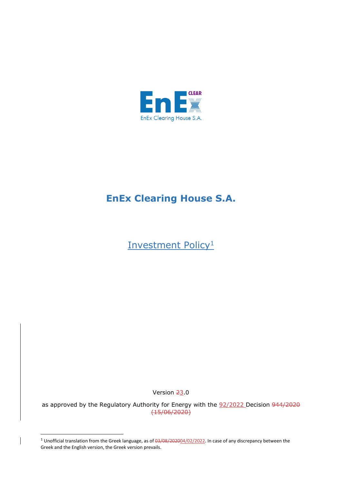

## **EnEx Clearing House S.A.**

Investment Policy<sup>1</sup>

Version 23.0

as approved by the Regulatory Authority for Energy with the 92/2022 Decision 944/2020 (15/06/2020)

<sup>&</sup>lt;sup>1</sup> Unofficial translation from the Greek language, as of 03/08/202004/02/2022. In case of any discrepancy between the Greek and the English version, the Greek version prevails.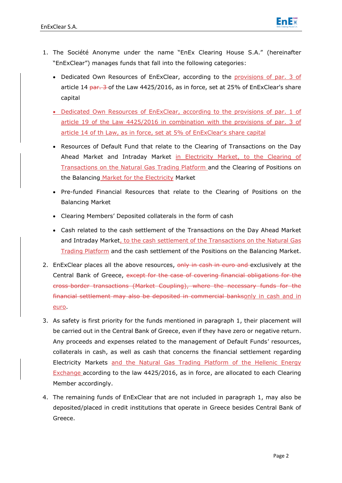

- 1. The Société Anonyme under the name "EnEx Clearing House S.A." (hereinafter "EnExClear") manages funds that fall into the following categories:
	- Dedicated Own Resources of EnExClear, according to the provisions of par. 3 of article 14 par. 3 of the Law 4425/2016, as in force, set at 25% of EnExClear's share capital
	- Dedicated Own Resources of EnExClear, according to the provisions of par. 1 of article 19 of the Law 4425/2016 in combination with the provisions of par. 3 of article 14 of th Law, as in force, set at 5% of EnExClear's share capital
	- Resources of Default Fund that relate to the Clearing of Transactions on the Day Ahead Market and Intraday Market in Electricity Market, to the Clearing of Transactions on the Natural Gas Trading Platform and the Clearing of Positions on the Balancing Market for the Electricity Market
	- Pre-funded Financial Resources that relate to the Clearing of Positions on the Balancing Market
	- Clearing Members' Deposited collaterals in the form of cash
	- Cash related to the cash settlement of the Transactions on the Day Ahead Market and Intraday Market, to the cash settlement of the Transactions on the Natural Gas Trading Platform and the cash settlement of the Positions on the Balancing Market.
- 2. EnExClear places all the above resources, only in cash in euro and exclusively at the Central Bank of Greece, except for the case of covering financial obligations for the cross-border transactions (Market Coupling), where the necessary funds for the financial settlement may also be deposited in commercial banksonly in cash and in euro.
- 3. As safety is first priority for the funds mentioned in paragraph 1, their placement will be carried out in the Central Bank of Greece, even if they have zero or negative return. Any proceeds and expenses related to the management of Default Funds' resources, collaterals in cash, as well as cash that concerns the financial settlement regarding Electricity Markets and the Natural Gas Trading Platform of the Hellenic Energy Exchange according to the law 4425/2016, as in force, are allocated to each Clearing Member accordingly.
- 4. The remaining funds of EnExClear that are not included in paragraph 1, may also be deposited/placed in credit institutions that operate in Greece besides Central Bank of Greece.